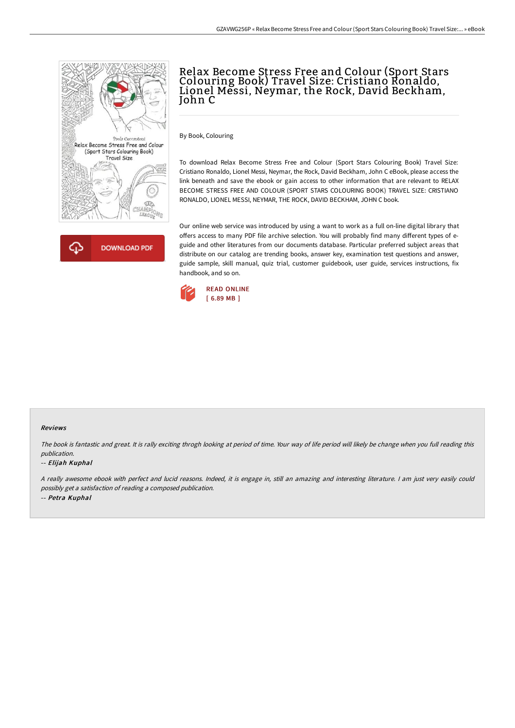



# Relax Become Stress Free and Colour (Sport Stars Colouring Book) Travel Size: Cristiano Ronaldo, Lionel Messi, Neymar, the Rock, David Beckham, John C

By Book, Colouring

To download Relax Become Stress Free and Colour (Sport Stars Colouring Book) Travel Size: Cristiano Ronaldo, Lionel Messi, Neymar, the Rock, David Beckham, John C eBook, please access the link beneath and save the ebook or gain access to other information that are relevant to RELAX BECOME STRESS FREE AND COLOUR (SPORT STARS COLOURING BOOK) TRAVEL SIZE: CRISTIANO RONALDO, LIONEL MESSI, NEYMAR, THE ROCK, DAVID BECKHAM, JOHN C book.

Our online web service was introduced by using a want to work as a full on-line digital library that offers access to many PDF file archive selection. You will probably find many different types of eguide and other literatures from our documents database. Particular preferred subject areas that distribute on our catalog are trending books, answer key, examination test questions and answer, guide sample, skill manual, quiz trial, customer guidebook, user guide, services instructions, fix handbook, and so on.



#### Reviews

The book is fantastic and great. It is rally exciting throgh looking at period of time. Your way of life period will likely be change when you full reading this publication.

#### -- Elijah Kuphal

<sup>A</sup> really awesome ebook with perfect and lucid reasons. Indeed, it is engage in, still an amazing and interesting literature. <sup>I</sup> am just very easily could possibly get <sup>a</sup> satisfaction of reading <sup>a</sup> composed publication. -- Petra Kuphal